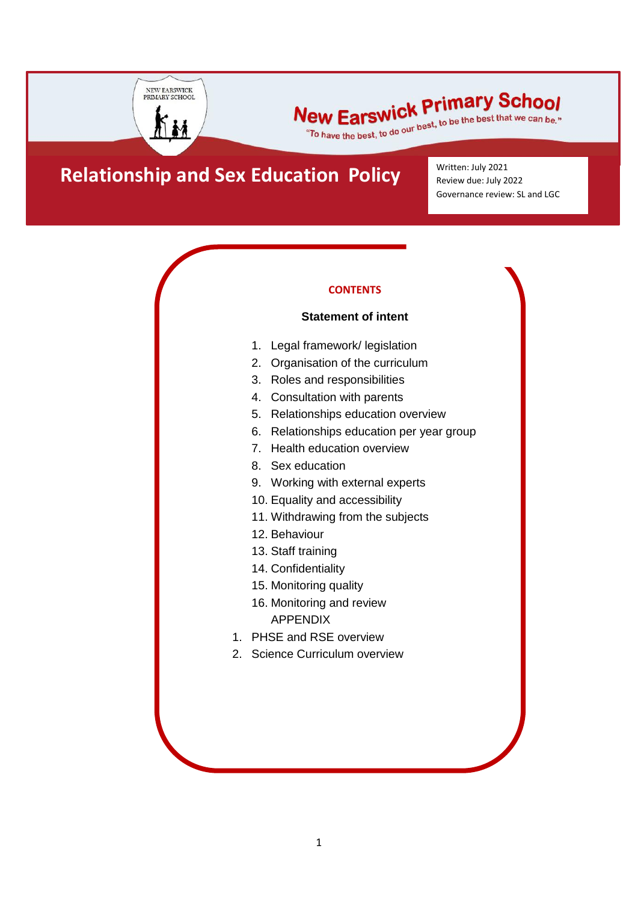

# New Earswick Primary School

ew Earswick Primary Scribol

# **Relationship and Sex Education Policy**

Written: July 2021 Review due: July 2022 Governance review: SL and LGC

### **CONTENTS**

### **[Statement of intent](#page-1-0)**

- 1. Legal framework/ legislation
- 2. Organisation of the curriculum
- 3. Roles and responsibilities
- 4. Consultation with parents
- 5. Relationships education overview
- 6. Relationships education per year group
- 7. Health education overview
- 8. Sex education
- 9. Working with external experts
- 10. Equality and accessibility
- 11. Withdrawing from the subjects
- 12. Behaviour
- 13. [Staff training](#page-22-0)
- 14. [Confidentiality](#page-23-0)
- 15. [Monitoring quality](#page-23-1)
- 16. [Monitoring and review](#page-24-0) APPENDIX
- 1. PHSE and RSE overview
- 2. Science Curriculum overview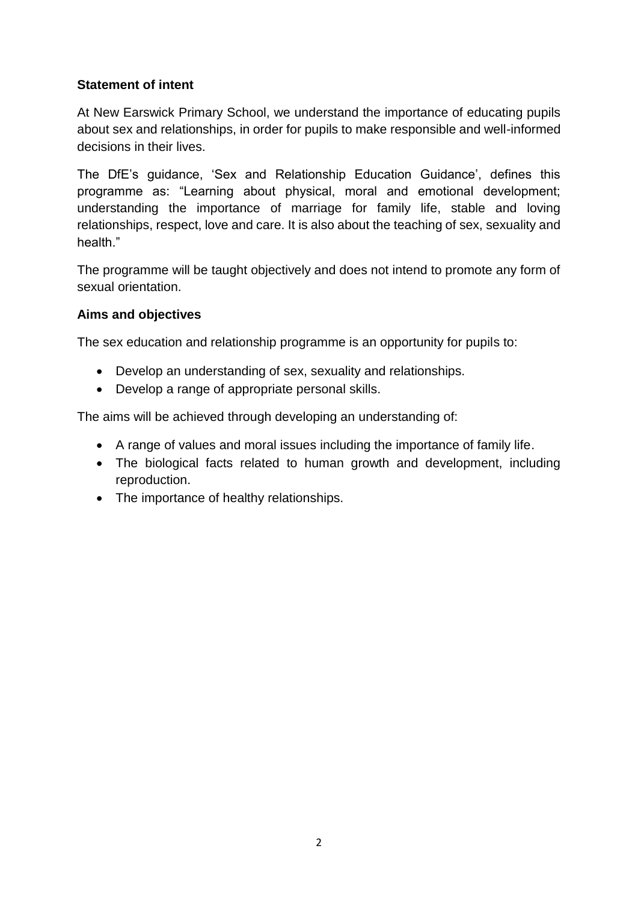# <span id="page-1-0"></span>**Statement of intent**

At New Earswick Primary School, we understand the importance of educating pupils about sex and relationships, in order for pupils to make responsible and well-informed decisions in their lives.

The DfE's guidance, 'Sex and Relationship Education Guidance', defines this programme as: "Learning about physical, moral and emotional development; understanding the importance of marriage for family life, stable and loving relationships, respect, love and care. It is also about the teaching of sex, sexuality and health."

The programme will be taught objectively and does not intend to promote any form of sexual orientation.

# **Aims and objectives**

The sex education and relationship programme is an opportunity for pupils to:

- Develop an understanding of sex, sexuality and relationships.
- Develop a range of appropriate personal skills.

The aims will be achieved through developing an understanding of:

- A range of values and moral issues including the importance of family life.
- The biological facts related to human growth and development, including reproduction.
- The importance of healthy relationships.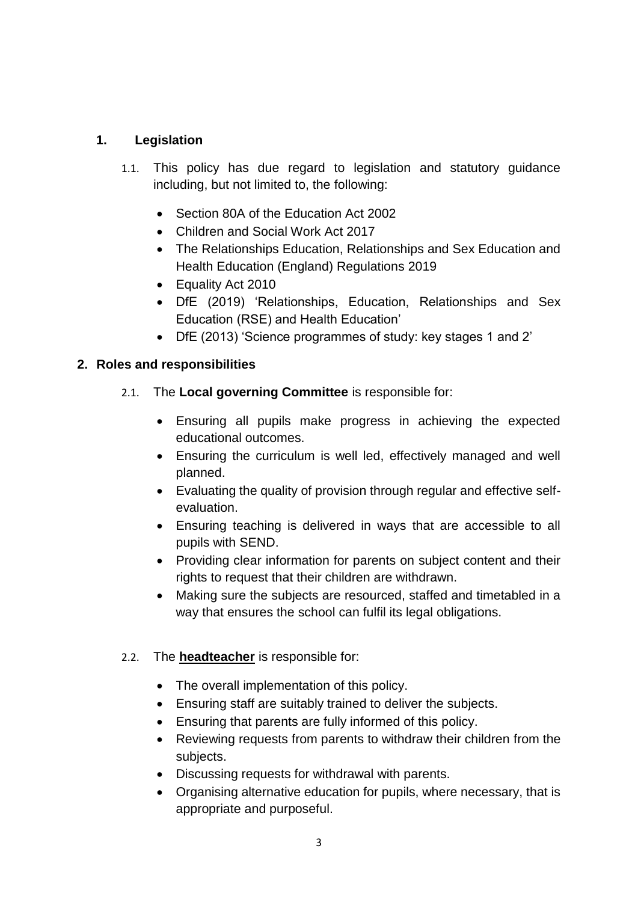# **1. Legislation**

- 1.1. This policy has due regard to legislation and statutory guidance including, but not limited to, the following:
	- Section 80A of the Education Act 2002
	- Children and Social Work Act 2017
	- The Relationships Education, Relationships and Sex Education and Health Education (England) Regulations 2019
	- Equality Act 2010
	- DfE (2019) 'Relationships, Education, Relationships and Sex Education (RSE) and Health Education'
	- DfE (2013) 'Science programmes of study: key stages 1 and 2'

# **2. Roles and responsibilities**

- 2.1. The **Local governing Committee** is responsible for:
	- Ensuring all pupils make progress in achieving the expected educational outcomes.
	- Ensuring the curriculum is well led, effectively managed and well planned.
	- Evaluating the quality of provision through regular and effective selfevaluation.
	- Ensuring teaching is delivered in ways that are accessible to all pupils with SEND.
	- Providing clear information for parents on subject content and their rights to request that their children are withdrawn.
	- Making sure the subjects are resourced, staffed and timetabled in a way that ensures the school can fulfil its legal obligations.

# 2.2. The **headteacher** is responsible for:

- The overall implementation of this policy.
- Ensuring staff are suitably trained to deliver the subjects.
- Ensuring that parents are fully informed of this policy.
- Reviewing requests from parents to withdraw their children from the subjects.
- Discussing requests for withdrawal with parents.
- Organising alternative education for pupils, where necessary, that is appropriate and purposeful.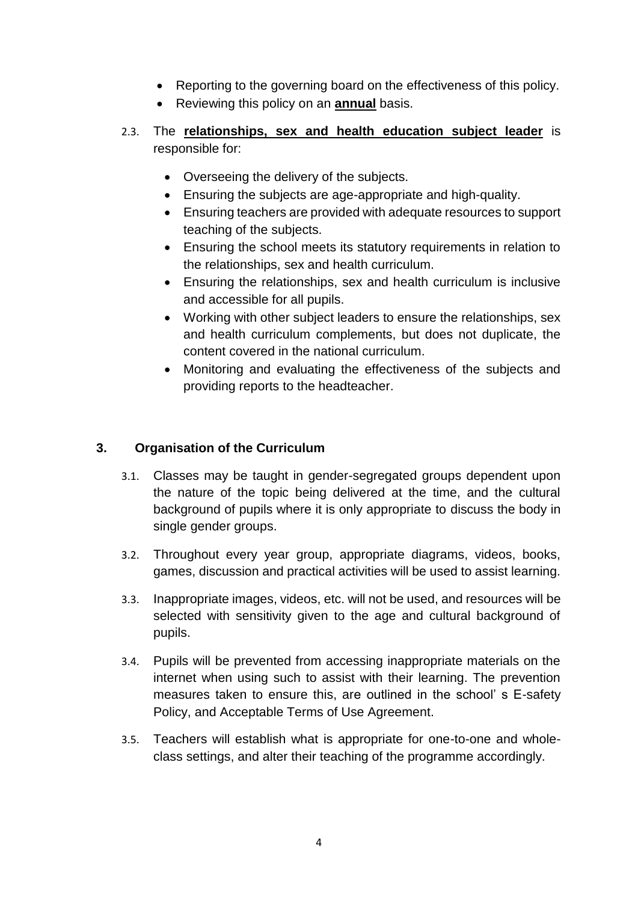- Reporting to the governing board on the effectiveness of this policy.
- Reviewing this policy on an **annual** basis.
- 2.3. The **relationships, sex and health education subject leader** is responsible for:
	- Overseeing the delivery of the subjects.
	- Ensuring the subjects are age-appropriate and high-quality.
	- Ensuring teachers are provided with adequate resources to support teaching of the subjects.
	- Ensuring the school meets its statutory requirements in relation to the relationships, sex and health curriculum.
	- Ensuring the relationships, sex and health curriculum is inclusive and accessible for all pupils.
	- Working with other subject leaders to ensure the relationships, sex and health curriculum complements, but does not duplicate, the content covered in the national curriculum.
	- Monitoring and evaluating the effectiveness of the subjects and providing reports to the headteacher.

# **3. Organisation of the Curriculum**

- 3.1. Classes may be taught in gender-segregated groups dependent upon the nature of the topic being delivered at the time, and the cultural background of pupils where it is only appropriate to discuss the body in single gender groups.
- 3.2. Throughout every year group, appropriate diagrams, videos, books, games, discussion and practical activities will be used to assist learning.
- 3.3. Inappropriate images, videos, etc. will not be used, and resources will be selected with sensitivity given to the age and cultural background of pupils.
- 3.4. Pupils will be prevented from accessing inappropriate materials on the internet when using such to assist with their learning. The prevention measures taken to ensure this, are outlined in the school' s E-safety Policy, and Acceptable Terms of Use Agreement.
- 3.5. Teachers will establish what is appropriate for one-to-one and wholeclass settings, and alter their teaching of the programme accordingly.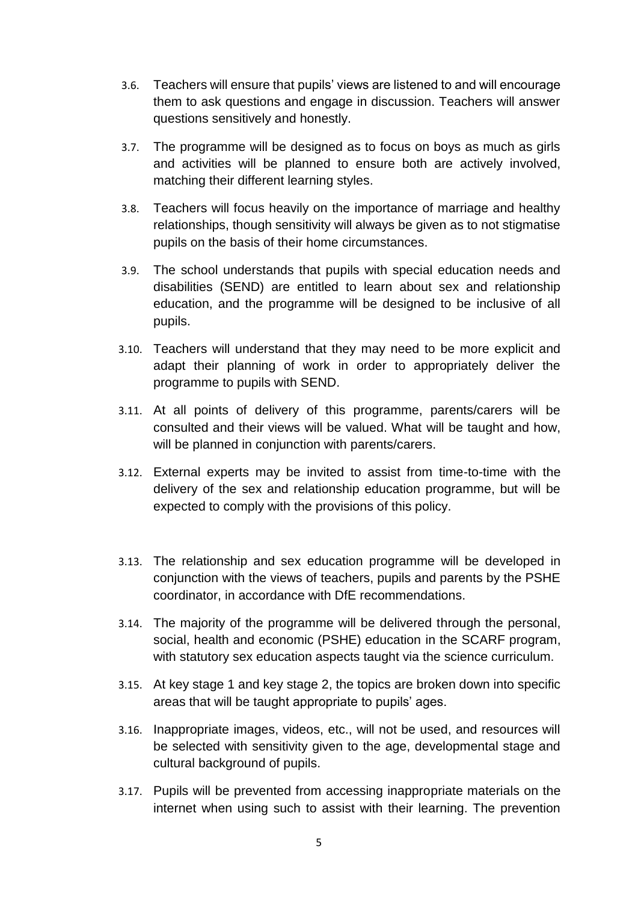- 3.6. Teachers will ensure that pupils' views are listened to and will encourage them to ask questions and engage in discussion. Teachers will answer questions sensitively and honestly.
- 3.7. The programme will be designed as to focus on boys as much as girls and activities will be planned to ensure both are actively involved, matching their different learning styles.
- 3.8. Teachers will focus heavily on the importance of marriage and healthy relationships, though sensitivity will always be given as to not stigmatise pupils on the basis of their home circumstances.
- 3.9. The school understands that pupils with special education needs and disabilities (SEND) are entitled to learn about sex and relationship education, and the programme will be designed to be inclusive of all pupils.
- 3.10. Teachers will understand that they may need to be more explicit and adapt their planning of work in order to appropriately deliver the programme to pupils with SEND.
- 3.11. At all points of delivery of this programme, parents/carers will be consulted and their views will be valued. What will be taught and how, will be planned in conjunction with parents/carers.
- 3.12. External experts may be invited to assist from time-to-time with the delivery of the sex and relationship education programme, but will be expected to comply with the provisions of this policy.
- 3.13. The relationship and sex education programme will be developed in conjunction with the views of teachers, pupils and parents by the PSHE coordinator, in accordance with DfE recommendations.
- 3.14. The majority of the programme will be delivered through the personal, social, health and economic (PSHE) education in the SCARF program, with statutory sex education aspects taught via the science curriculum.
- 3.15. At key stage 1 and key stage 2, the topics are broken down into specific areas that will be taught appropriate to pupils' ages.
- 3.16. Inappropriate images, videos, etc., will not be used, and resources will be selected with sensitivity given to the age, developmental stage and cultural background of pupils.
- 3.17. Pupils will be prevented from accessing inappropriate materials on the internet when using such to assist with their learning. The prevention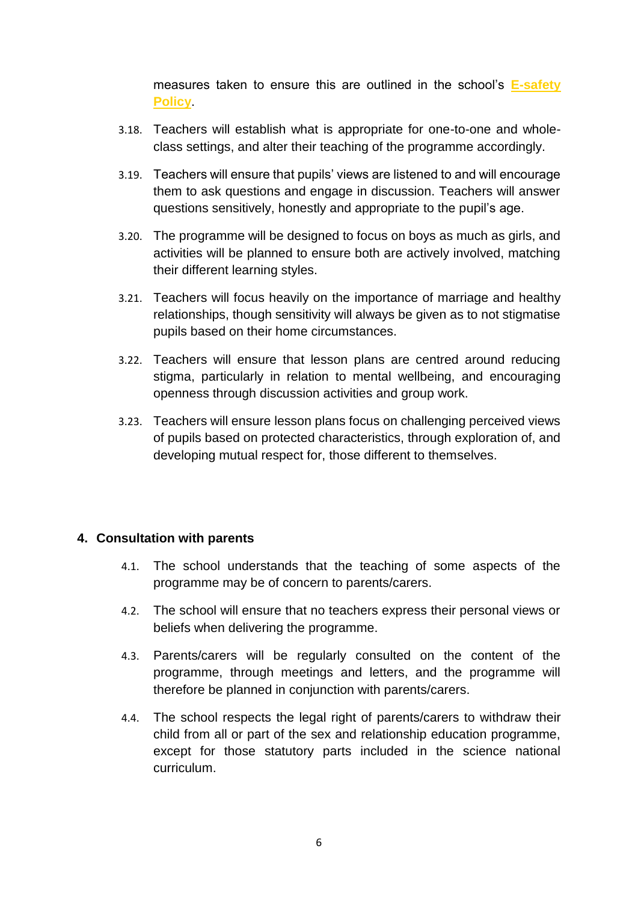measures taken to ensure this are outlined in the school's **E-safety Policy**.

- 3.18. Teachers will establish what is appropriate for one-to-one and wholeclass settings, and alter their teaching of the programme accordingly.
- 3.19. Teachers will ensure that pupils' views are listened to and will encourage them to ask questions and engage in discussion. Teachers will answer questions sensitively, honestly and appropriate to the pupil's age.
- 3.20. The programme will be designed to focus on boys as much as girls, and activities will be planned to ensure both are actively involved, matching their different learning styles.
- 3.21. Teachers will focus heavily on the importance of marriage and healthy relationships, though sensitivity will always be given as to not stigmatise pupils based on their home circumstances.
- 3.22. Teachers will ensure that lesson plans are centred around reducing stigma, particularly in relation to mental wellbeing, and encouraging openness through discussion activities and group work.
- 3.23. Teachers will ensure lesson plans focus on challenging perceived views of pupils based on protected characteristics, through exploration of, and developing mutual respect for, those different to themselves.

## **4. Consultation with parents**

- 4.1. The school understands that the teaching of some aspects of the programme may be of concern to parents/carers.
- 4.2. The school will ensure that no teachers express their personal views or beliefs when delivering the programme.
- 4.3. Parents/carers will be regularly consulted on the content of the programme, through meetings and letters, and the programme will therefore be planned in conjunction with parents/carers.
- 4.4. The school respects the legal right of parents/carers to withdraw their child from all or part of the sex and relationship education programme, except for those statutory parts included in the science national curriculum.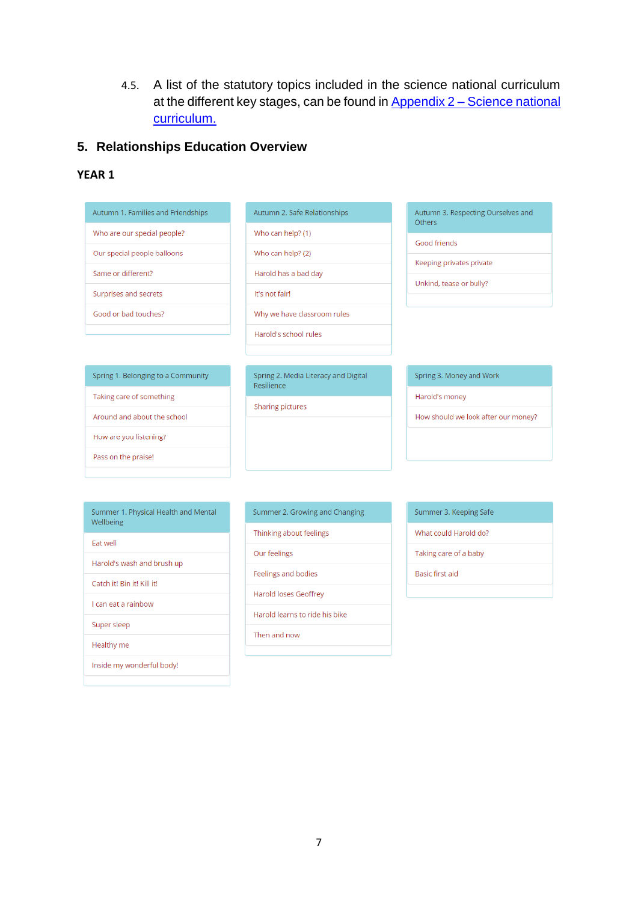4.5. A list of the statutory topics included in the science national curriculum at the different key stages, can be found in Appendix 2 - Science national [curriculum.](#page-26-0)

# **5. Relationships Education Overview**

### **YEAR 1**

| Autumn 1. Families and Friendships                | Autumn 2. Safe Relationships                       | Autumn 3. Respecting Ourselves and<br><b>Others</b> |
|---------------------------------------------------|----------------------------------------------------|-----------------------------------------------------|
| Who are our special people?                       | Who can help? (1)                                  | <b>Good friends</b>                                 |
| Our special people balloons                       | Who can help? (2)                                  |                                                     |
| Same or different?                                | Harold has a bad day                               | Keeping privates private                            |
| Surprises and secrets                             | It's not fair!                                     | Unkind, tease or bully?                             |
| Good or bad touches?                              | Why we have classroom rules                        |                                                     |
|                                                   | Harold's school rules                              |                                                     |
|                                                   |                                                    |                                                     |
| Spring 1. Belonging to a Community                | Spring 2. Media Literacy and Digital<br>Resilience | Spring 3. Money and Work                            |
| Taking care of something                          | <b>Sharing pictures</b>                            | Harold's money                                      |
| Around and about the school                       |                                                    | How should we look after our money?                 |
| How are you listening?                            |                                                    |                                                     |
| Pass on the praise!                               |                                                    |                                                     |
| Summer 1. Physical Health and Mental<br>Wellbeing | Summer 2. Growing and Changing                     | Summer 3. Keeping Safe                              |
| Eat well                                          | Thinking about feelings                            | What could Harold do?                               |
|                                                   |                                                    |                                                     |
|                                                   | Our feelings                                       | Taking care of a baby                               |
| Harold's wash and brush up                        | Feelings and bodies                                | <b>Basic first aid</b>                              |
| Catch it! Bin it! Kill it!                        | <b>Harold loses Geoffrey</b>                       |                                                     |
| I can eat a rainbow                               | Harold learns to ride his bike                     |                                                     |
| Super sleep                                       | Then and now                                       |                                                     |
| Healthy me                                        |                                                    |                                                     |
| Inside my wonderful body!                         |                                                    |                                                     |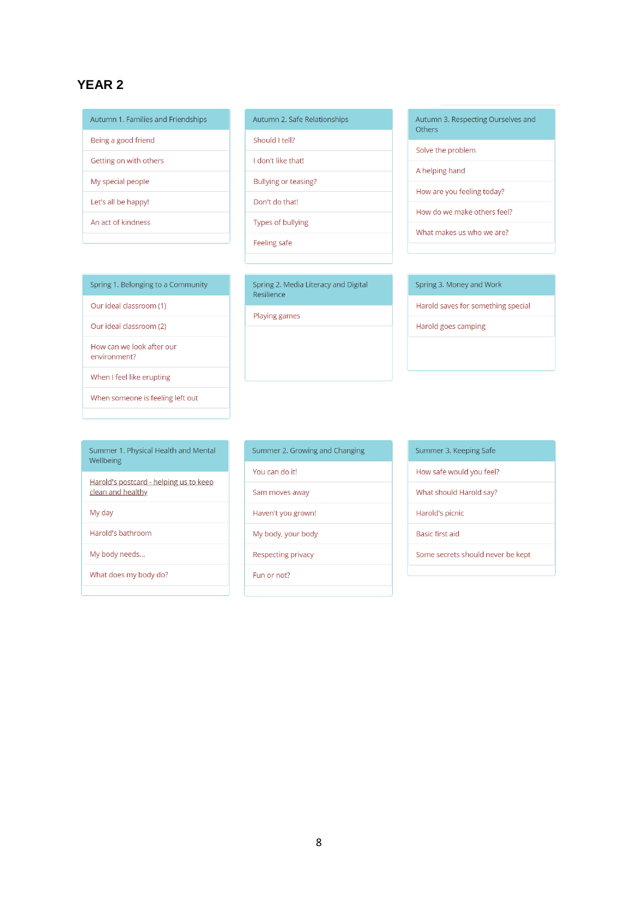- Autumn 1. Families and Friendships
- Being a good friend
- Getting on with others
- My special people
- Let's all be happy!
- An act of kindness

### Autumn 2. Safe Relationships

Should I tell?

I don't like that!

Bullying or teasing?

Don't do that!

Types of bullying

Feeling safe

Spring 2. Media Literacy and Digital Resilience

Playing games

- Autumn 3. Respecting Ourselves and Others
- Solve the problem
- A helping hand
- How are you feeling today?

How do we make others feel?

What makes us who we are?

### Spring 3. Money and Work

Harold saves for something special

Harold goes camping

### Spring 1. Belonging to a Community

Our ideal classroom (1)

Our ideal classroom (2)

How can we look after our environment?

When I feel like erupting

When someone is feeling left out

#### Summer 1. Physical Health and Mental Wellbeing

Harold's postcard - helping us to keep clean and healthy

My day

Harold's bathroom

My body needs...

What does my body do?

### Summer 2. Growing and Changing

You can do it!

Sam moves away

Haven't you grown!

My body, your body

Respecting privacy

Fun or not?

### Summer 3. Keeping Safe

How safe would you feel?

What should Harold say?

Harold's picnic

**Basic first aid** 

Some secrets should never be kept

8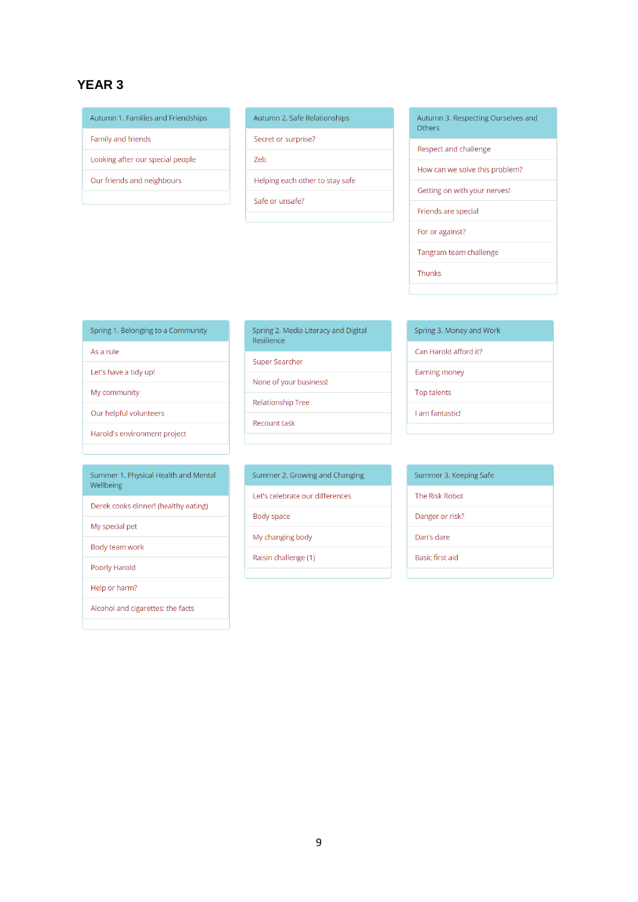Autumn 1. Families and Friendships

Family and friends

Looking after our special people

Our friends and neighbours

Autumn 2. Safe Relationships

Secret or surprise?

Zeb

Helping each other to stay safe

Safe or unsafe?

Others Respect and challenge How can we solve this problem? Getting on with your nerves!

Autumn 3. Respecting Ourselves and

Friends are special

For or against?

Tangram team challenge

Thunks

- Spring 1. Belonging to a Community
- As a rule

Let's have a tidy up!

My community

Our helpful volunteers

Harold's environment project

Summer 1. Physical Health and Mental

Spring 2. Media Literacy and Digital Resilience

Super Searcher

None of your business!

**Relationship Tree** 

Recount task

### Summer 2. Growing and Changing

Let's celebrate our differences

Body space

My changing body

Raisin challenge (1)

Earning money

Top talents

I am fantastic!

### Summer 3. Keeping Safe

The Risk Robot

Danger or risk?

Dan's dare

**Basic first aid** 

Derek cooks dinner! (healthy eating) My special pet Body team work

Poorly Harold

Wellbeing

Help or harm?

Alcohol and cigarettes: the facts

Spring 3. Money and Work Can Harold afford it?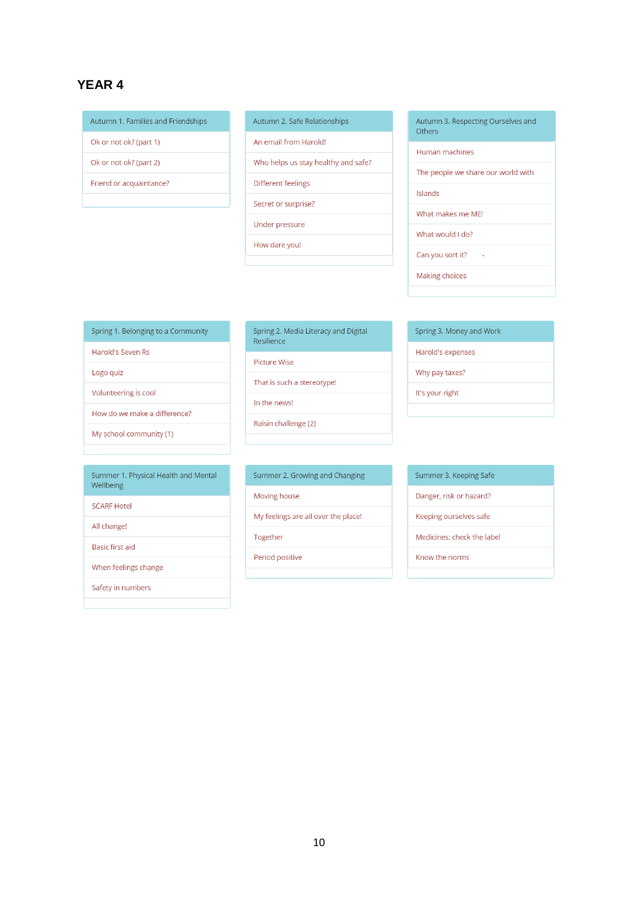Autumn 1. Families and Friendships

### Ok or not ok? (part 1)

- Ok or not ok? (part 2)
- Friend or acquaintance?

### Autumn 2. Safe Relationships

#### An email from Harold!

- Who helps us stay healthy and safe?
- **Different feelings**
- Secret or surprise?
- Under pressure
- How dare you!
- Autumn 3. Respecting Ourselves and Others
- Human machines

The people we share our world with

 $\ddot{\phantom{a}}$ 

- Islands
- What makes me ME!
- What would I do?
- Can you sort it?
- Making choices

- Spring 1. Belonging to a Community
- Harold's Seven Rs

Logo quiz

Volunteering is cool

How do we make a difference?

#### My school community (1)

| Summer 1. Physical Health and Mental<br>Wellbeing |
|---------------------------------------------------|
| <b>SCARE Hotel</b>                                |
| All change!                                       |
| <b>Basic first aid</b>                            |
| When feelings change                              |
| Safety in numbers                                 |

#### Spring 2. Media Literacy and Digital Resilience

Picture Wise

That is such a stereotype!

In the news!

Raisin challenge (2)

#### Summer 2. Growing and Changing

Moving house

My feelings are all over the place!

Together

Period positive

### Spring 3. Money and Work

Harold's expenses

Why pay taxes?

It's your right

### Summer 3. Keeping Safe

Danger, risk or hazard?

Keeping ourselves safe

Medicines: check the label

Know the norms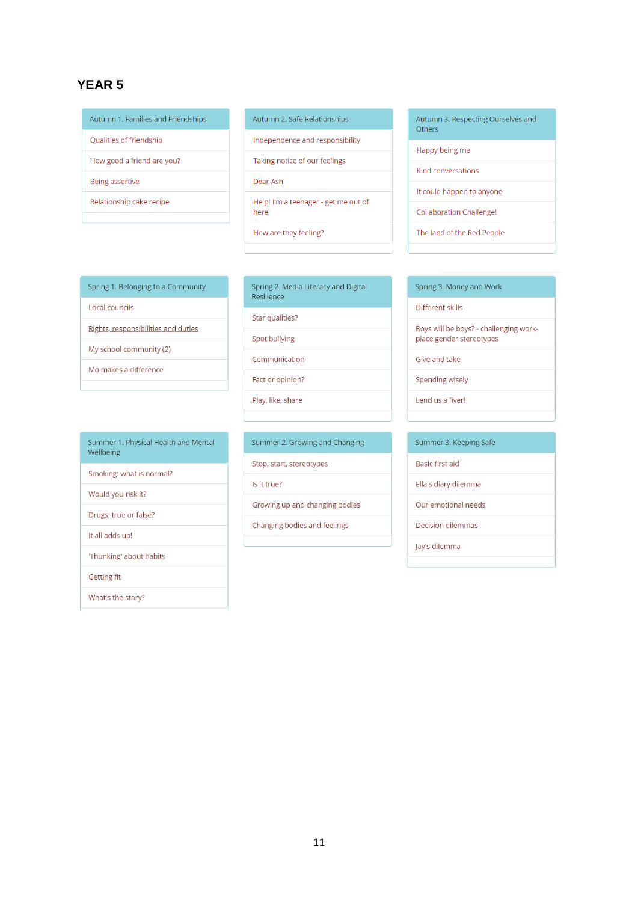Autumn 1. Families and Friendships

Qualities of friendship

How good a friend are you?

- Being assertive
- Relationship cake recipe

### Autumn 2. Safe Relationships

Independence and responsibility

Taking notice of our feelings

Dear Ash

Help! I'm a teenager - get me out of here!

How are they feeling?

- Autumn 3. Respecting Ourselves and Others Happy being me
- Kind conversations
	-
- It could happen to anyone
- **Collaboration Challenge!**
- The land of the Red People

- Spring 1. Belonging to a Community
- Local councils

Rights, responsibilities and duties

My school community (2)

Mo makes a difference

## Summer 1. Physical Health and Mental Wellbeing

Smoking: what is normal?

Would you risk it?

Drugs: true or false?

It all adds up!

'Thunking' about habits

Getting fit

What's the story?

# Spring 2. Media Literacy and Digital Resilience Star qualities?

Spot bullying

Communication

Fact or opinion?

Play, like, share

#### Summer 2. Growing and Changing

Stop, start, stereotypes

Is it true?

Growing up and changing bodies

Changing bodies and feelings

### Spring 3. Money and Work

Different skills

Boys will be boys? - challenging workplace gender stereotypes

Give and take

#### Summer 3. Keeping Safe

Ella's diary dilemma

**Decision dilemmas** 

Jay's dilemma

- **Spending wisely** Lend us a fiver!
	-
	- **Basic first aid**

Our emotional needs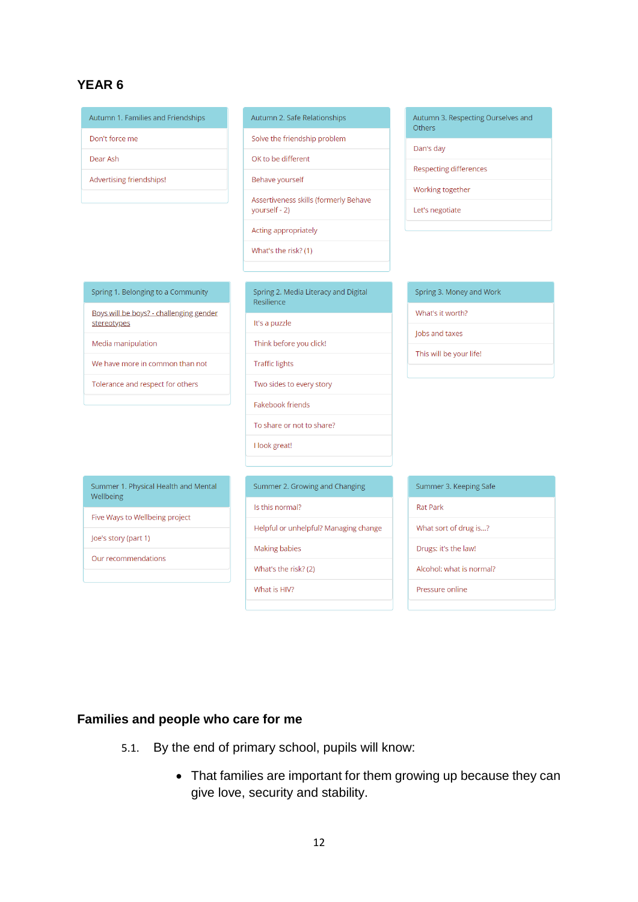# YEAR<sub>6</sub>

Autumn 1. Families and Friendships

### Don't force me

Dear Ash

Advertising friendships!

### Autumn 2. Safe Relationships

Solve the friendship problem

OK to be different

Behave yourself

Assertiveness skills (formerly Behave yourself - 2)

Acting appropriately

What's the risk? (1)

Autumn 3. Respecting Ourselves and Others

Dan's day

Respecting differences

Working together

Let's negotiate

| Spring 1. Belonging to a Community |  |  |
|------------------------------------|--|--|
|------------------------------------|--|--|

Boys will be boys? - challenging gender stereotypes

Media manipulation

We have more in common than not

Tolerance and respect for others

### Spring 2. Media Literacy and Digital Resilience

It's a puzzle

Think before you click!

**Traffic lights** 

Two sides to every story

Fakebook friends

To share or not to share?

I look great!

Spring 3. Money and Work What's it worth?

Jobs and taxes This will be your life!

Summer 3. Keeping Safe

**Rat Park** 

What sort of drug is...?

Drugs: it's the law!

- Alcohol: what is normal?
- Pressure online

### Summer 1. Physical Health and Mental Wellbeing

Five Ways to Wellbeing project

Joe's story (part 1)

Our recommendations

| Summer 2. Growing and Changing        |
|---------------------------------------|
| Is this normal?                       |
| Helpful or unhelpful? Managing change |

Making babies

What's the risk? (2)

What is HIV?

# Families and people who care for me

- By the end of primary school, pupils will know:  $5.1.$ 
	- That families are important for them growing up because they can give love, security and stability.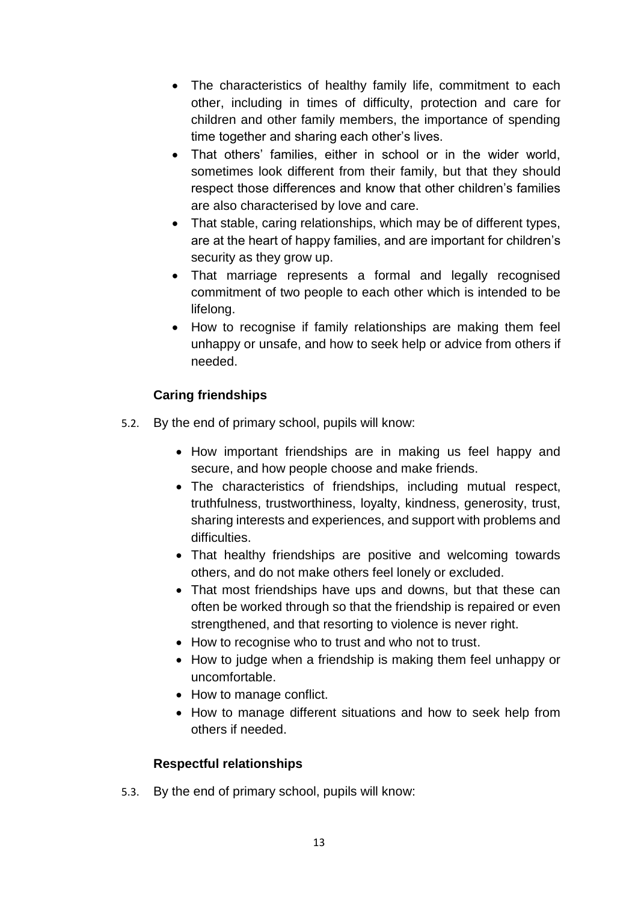- The characteristics of healthy family life, commitment to each other, including in times of difficulty, protection and care for children and other family members, the importance of spending time together and sharing each other's lives.
- That others' families, either in school or in the wider world, sometimes look different from their family, but that they should respect those differences and know that other children's families are also characterised by love and care.
- That stable, caring relationships, which may be of different types, are at the heart of happy families, and are important for children's security as they grow up.
- That marriage represents a formal and legally recognised commitment of two people to each other which is intended to be lifelong.
- How to recognise if family relationships are making them feel unhappy or unsafe, and how to seek help or advice from others if needed.

# **Caring friendships**

- 5.2. By the end of primary school, pupils will know:
	- How important friendships are in making us feel happy and secure, and how people choose and make friends.
	- The characteristics of friendships, including mutual respect, truthfulness, trustworthiness, loyalty, kindness, generosity, trust, sharing interests and experiences, and support with problems and difficulties.
	- That healthy friendships are positive and welcoming towards others, and do not make others feel lonely or excluded.
	- That most friendships have ups and downs, but that these can often be worked through so that the friendship is repaired or even strengthened, and that resorting to violence is never right.
	- How to recognise who to trust and who not to trust.
	- How to judge when a friendship is making them feel unhappy or uncomfortable.
	- How to manage conflict.
	- How to manage different situations and how to seek help from others if needed.

# **Respectful relationships**

5.3. By the end of primary school, pupils will know: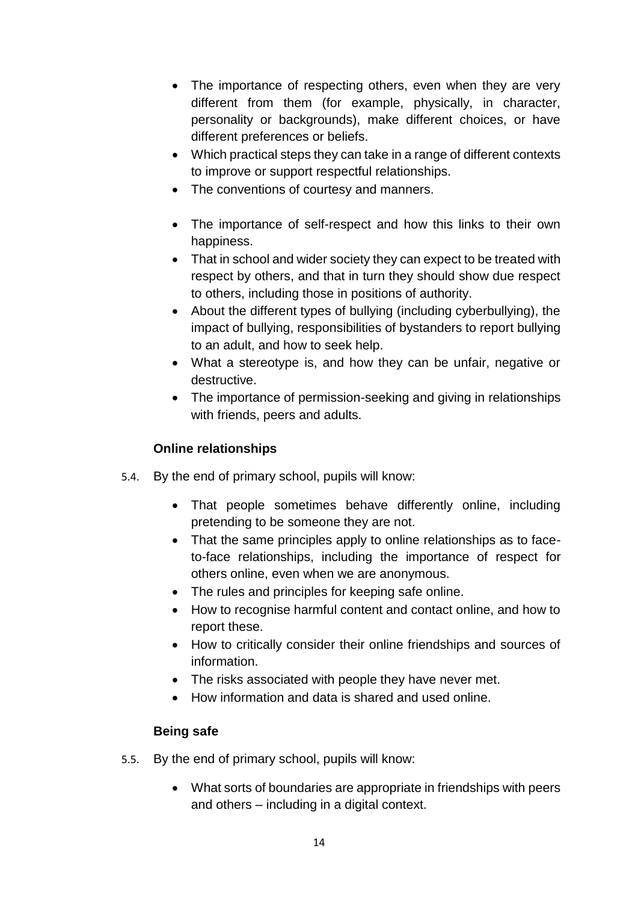- The importance of respecting others, even when they are very different from them (for example, physically, in character, personality or backgrounds), make different choices, or have different preferences or beliefs.
- Which practical steps they can take in a range of different contexts to improve or support respectful relationships.
- The conventions of courtesy and manners.
- The importance of self-respect and how this links to their own happiness.
- That in school and wider society they can expect to be treated with respect by others, and that in turn they should show due respect to others, including those in positions of authority.
- About the different types of bullying (including cyberbullying), the impact of bullying, responsibilities of bystanders to report bullying to an adult, and how to seek help.
- What a stereotype is, and how they can be unfair, negative or destructive.
- The importance of permission-seeking and giving in relationships with friends, peers and adults.

# **Online relationships**

- 5.4. By the end of primary school, pupils will know:
	- That people sometimes behave differently online, including pretending to be someone they are not.
	- That the same principles apply to online relationships as to faceto-face relationships, including the importance of respect for others online, even when we are anonymous.
	- The rules and principles for keeping safe online.
	- How to recognise harmful content and contact online, and how to report these.
	- How to critically consider their online friendships and sources of information.
	- The risks associated with people they have never met.
	- How information and data is shared and used online.

# **Being safe**

- 5.5. By the end of primary school, pupils will know:
	- What sorts of boundaries are appropriate in friendships with peers and others – including in a digital context.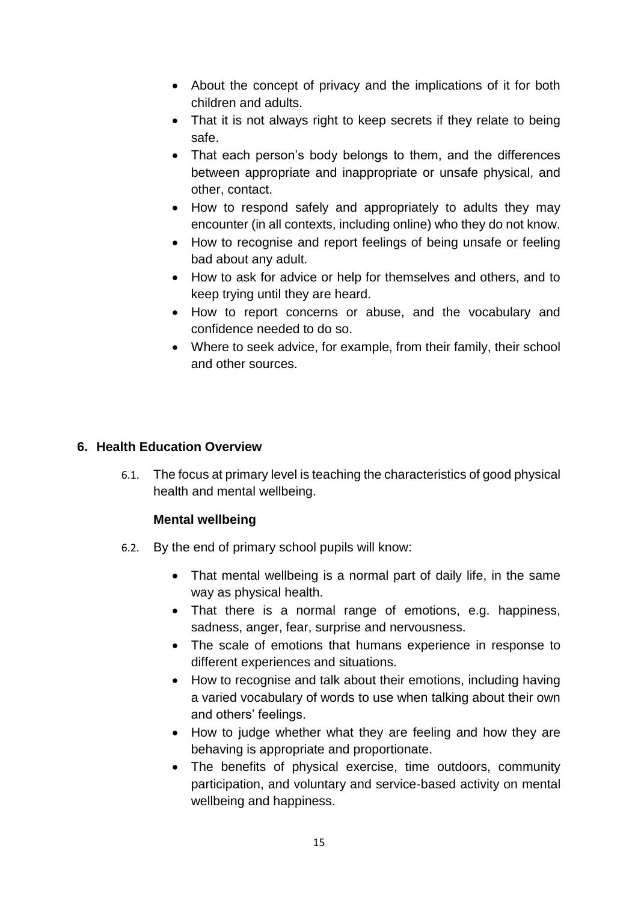- About the concept of privacy and the implications of it for both children and adults.
- That it is not always right to keep secrets if they relate to being safe.
- That each person's body belongs to them, and the differences between appropriate and inappropriate or unsafe physical, and other, contact.
- How to respond safely and appropriately to adults they may encounter (in all contexts, including online) who they do not know.
- How to recognise and report feelings of being unsafe or feeling bad about any adult.
- How to ask for advice or help for themselves and others, and to keep trying until they are heard.
- How to report concerns or abuse, and the vocabulary and confidence needed to do so.
- Where to seek advice, for example, from their family, their school and other sources.

# **6. Health Education Overview**

6.1. The focus at primary level is teaching the characteristics of good physical health and mental wellbeing.

## **Mental wellbeing**

- 6.2. By the end of primary school pupils will know:
	- That mental wellbeing is a normal part of daily life, in the same way as physical health.
	- That there is a normal range of emotions, e.g. happiness, sadness, anger, fear, surprise and nervousness.
	- The scale of emotions that humans experience in response to different experiences and situations.
	- How to recognise and talk about their emotions, including having a varied vocabulary of words to use when talking about their own and others' feelings.
	- How to judge whether what they are feeling and how they are behaving is appropriate and proportionate.
	- The benefits of physical exercise, time outdoors, community participation, and voluntary and service-based activity on mental wellbeing and happiness.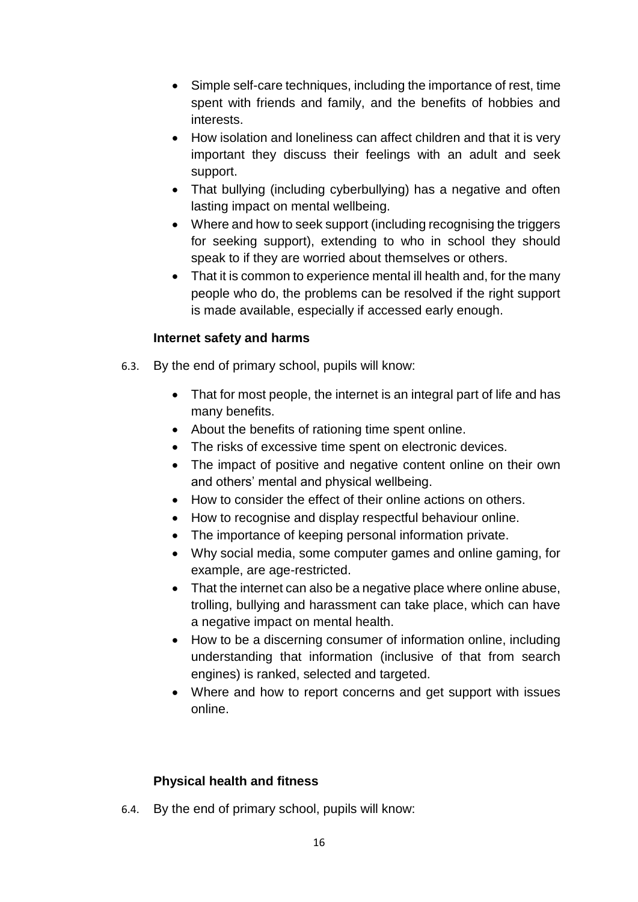- Simple self-care techniques, including the importance of rest, time spent with friends and family, and the benefits of hobbies and interests.
- How isolation and loneliness can affect children and that it is very important they discuss their feelings with an adult and seek support.
- That bullying (including cyberbullying) has a negative and often lasting impact on mental wellbeing.
- Where and how to seek support (including recognising the triggers for seeking support), extending to who in school they should speak to if they are worried about themselves or others.
- That it is common to experience mental ill health and, for the many people who do, the problems can be resolved if the right support is made available, especially if accessed early enough.

# **Internet safety and harms**

- 6.3. By the end of primary school, pupils will know:
	- That for most people, the internet is an integral part of life and has many benefits.
	- About the benefits of rationing time spent online.
	- The risks of excessive time spent on electronic devices.
	- The impact of positive and negative content online on their own and others' mental and physical wellbeing.
	- How to consider the effect of their online actions on others.
	- How to recognise and display respectful behaviour online.
	- The importance of keeping personal information private.
	- Why social media, some computer games and online gaming, for example, are age-restricted.
	- That the internet can also be a negative place where online abuse, trolling, bullying and harassment can take place, which can have a negative impact on mental health.
	- How to be a discerning consumer of information online, including understanding that information (inclusive of that from search engines) is ranked, selected and targeted.
	- Where and how to report concerns and get support with issues online.

# **Physical health and fitness**

6.4. By the end of primary school, pupils will know: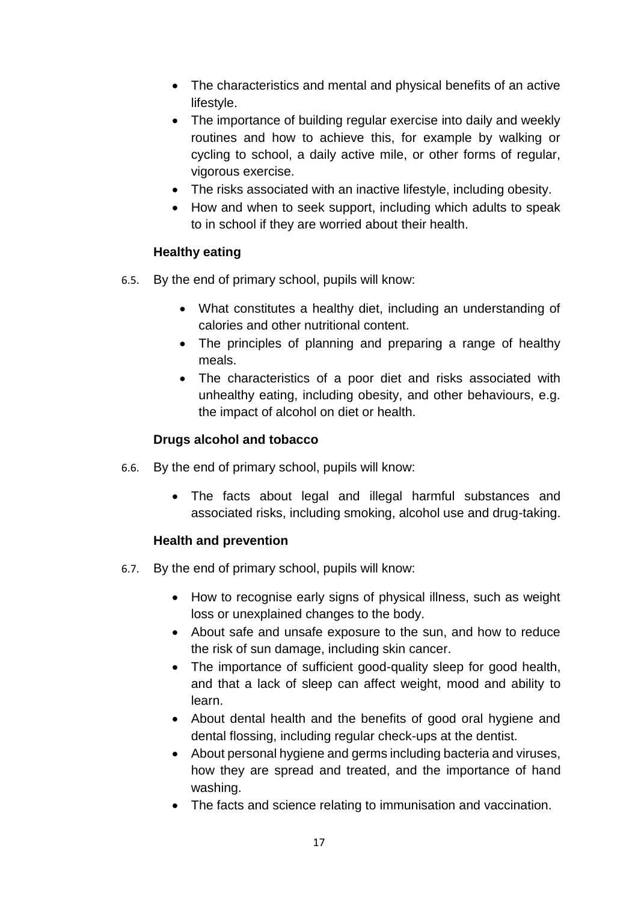- The characteristics and mental and physical benefits of an active lifestyle.
- The importance of building regular exercise into daily and weekly routines and how to achieve this, for example by walking or cycling to school, a daily active mile, or other forms of regular, vigorous exercise.
- The risks associated with an inactive lifestyle, including obesity.
- How and when to seek support, including which adults to speak to in school if they are worried about their health.

# **Healthy eating**

- 6.5. By the end of primary school, pupils will know:
	- What constitutes a healthy diet, including an understanding of calories and other nutritional content.
	- The principles of planning and preparing a range of healthy meals.
	- The characteristics of a poor diet and risks associated with unhealthy eating, including obesity, and other behaviours, e.g. the impact of alcohol on diet or health.

# **Drugs alcohol and tobacco**

- 6.6. By the end of primary school, pupils will know:
	- The facts about legal and illegal harmful substances and associated risks, including smoking, alcohol use and drug-taking.

# **Health and prevention**

- 6.7. By the end of primary school, pupils will know:
	- How to recognise early signs of physical illness, such as weight loss or unexplained changes to the body.
	- About safe and unsafe exposure to the sun, and how to reduce the risk of sun damage, including skin cancer.
	- The importance of sufficient good-quality sleep for good health, and that a lack of sleep can affect weight, mood and ability to learn.
	- About dental health and the benefits of good oral hygiene and dental flossing, including regular check-ups at the dentist.
	- About personal hygiene and germs including bacteria and viruses, how they are spread and treated, and the importance of hand washing.
	- The facts and science relating to immunisation and vaccination.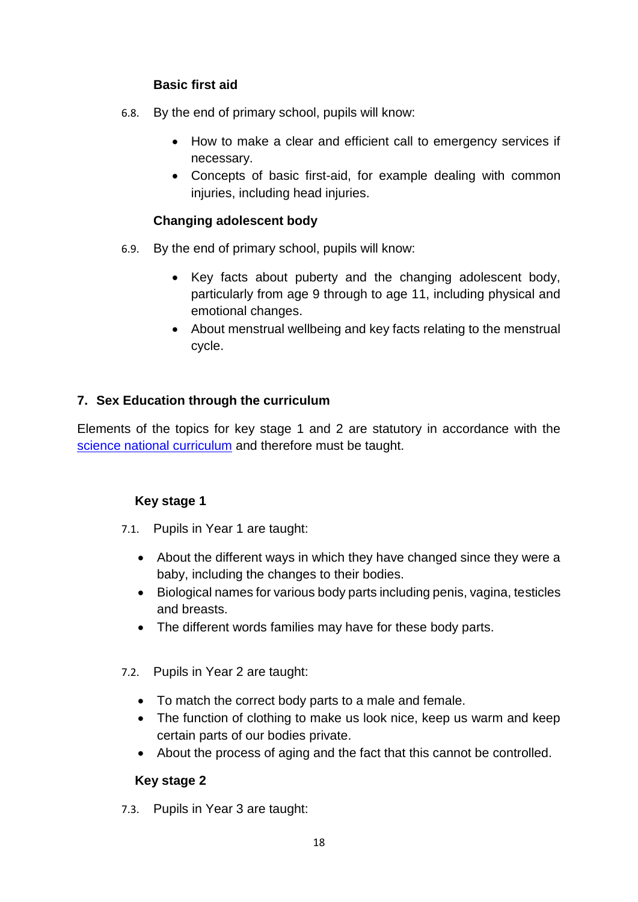# **Basic first aid**

- 6.8. By the end of primary school, pupils will know:
	- How to make a clear and efficient call to emergency services if necessary.
	- Concepts of basic first-aid, for example dealing with common injuries, including head injuries.

# **Changing adolescent body**

- 6.9. By the end of primary school, pupils will know:
	- Key facts about puberty and the changing adolescent body, particularly from age 9 through to age 11, including physical and emotional changes.
	- About menstrual wellbeing and key facts relating to the menstrual cycle.

# **7. Sex Education through the curriculum**

Elements of the topics for key stage 1 and 2 are statutory in accordance with the [science national curriculum](#page-26-0) and therefore must be taught.

# **Key stage 1**

- 7.1. Pupils in Year 1 are taught:
	- About the different ways in which they have changed since they were a baby, including the changes to their bodies.
	- Biological names for various body parts including penis, vagina, testicles and breasts.
	- The different words families may have for these body parts.
- 7.2. Pupils in Year 2 are taught:
	- To match the correct body parts to a male and female.
	- The function of clothing to make us look nice, keep us warm and keep certain parts of our bodies private.
	- About the process of aging and the fact that this cannot be controlled.

# **Key stage 2**

7.3. Pupils in Year 3 are taught: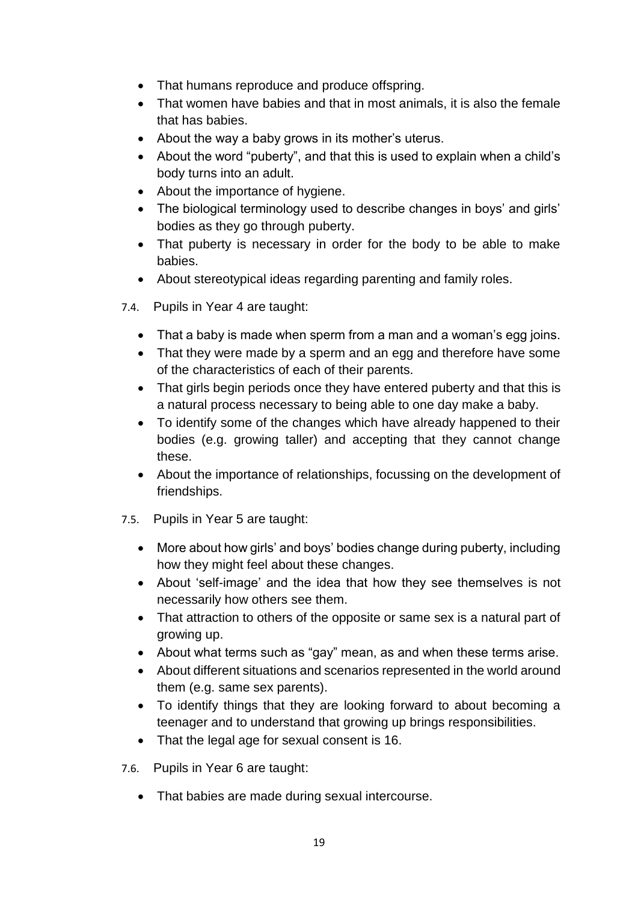- That humans reproduce and produce offspring.
- That women have babies and that in most animals, it is also the female that has babies.
- About the way a baby grows in its mother's uterus.
- About the word "puberty", and that this is used to explain when a child's body turns into an adult.
- About the importance of hygiene.
- The biological terminology used to describe changes in boys' and girls' bodies as they go through puberty.
- That puberty is necessary in order for the body to be able to make babies.
- About stereotypical ideas regarding parenting and family roles.
- 7.4. Pupils in Year 4 are taught:
	- That a baby is made when sperm from a man and a woman's egg joins.
	- That they were made by a sperm and an egg and therefore have some of the characteristics of each of their parents.
	- That girls begin periods once they have entered puberty and that this is a natural process necessary to being able to one day make a baby.
	- To identify some of the changes which have already happened to their bodies (e.g. growing taller) and accepting that they cannot change these.
	- About the importance of relationships, focussing on the development of friendships.
- 7.5. Pupils in Year 5 are taught:
	- More about how girls' and boys' bodies change during puberty, including how they might feel about these changes.
	- About 'self-image' and the idea that how they see themselves is not necessarily how others see them.
	- That attraction to others of the opposite or same sex is a natural part of growing up.
	- About what terms such as "gay" mean, as and when these terms arise.
	- About different situations and scenarios represented in the world around them (e.g. same sex parents).
	- To identify things that they are looking forward to about becoming a teenager and to understand that growing up brings responsibilities.
	- That the legal age for sexual consent is 16.
- 7.6. Pupils in Year 6 are taught:
	- That babies are made during sexual intercourse.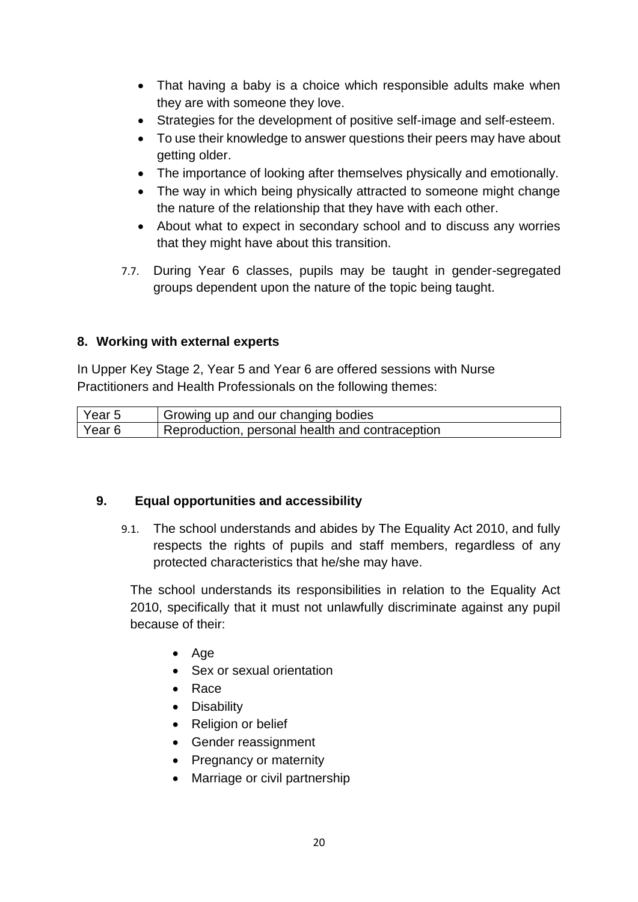- That having a baby is a choice which responsible adults make when they are with someone they love.
- Strategies for the development of positive self-image and self-esteem.
- To use their knowledge to answer questions their peers may have about getting older.
- The importance of looking after themselves physically and emotionally.
- The way in which being physically attracted to someone might change the nature of the relationship that they have with each other.
- About what to expect in secondary school and to discuss any worries that they might have about this transition.
- 7.7. During Year 6 classes, pupils may be taught in gender-segregated groups dependent upon the nature of the topic being taught.

# **8. Working with external experts**

In Upper Key Stage 2, Year 5 and Year 6 are offered sessions with Nurse Practitioners and Health Professionals on the following themes:

| Year 5 | Growing up and our changing bodies              |
|--------|-------------------------------------------------|
| Year 6 | Reproduction, personal health and contraception |

# **9. Equal opportunities and accessibility**

9.1. The school understands and abides by The Equality Act 2010, and fully respects the rights of pupils and staff members, regardless of any protected characteristics that he/she may have.

The school understands its responsibilities in relation to the Equality Act 2010, specifically that it must not unlawfully discriminate against any pupil because of their:

- Age
- Sex or sexual orientation
- Race
- Disability
- Religion or belief
- Gender reassignment
- Pregnancy or maternity
- Marriage or civil partnership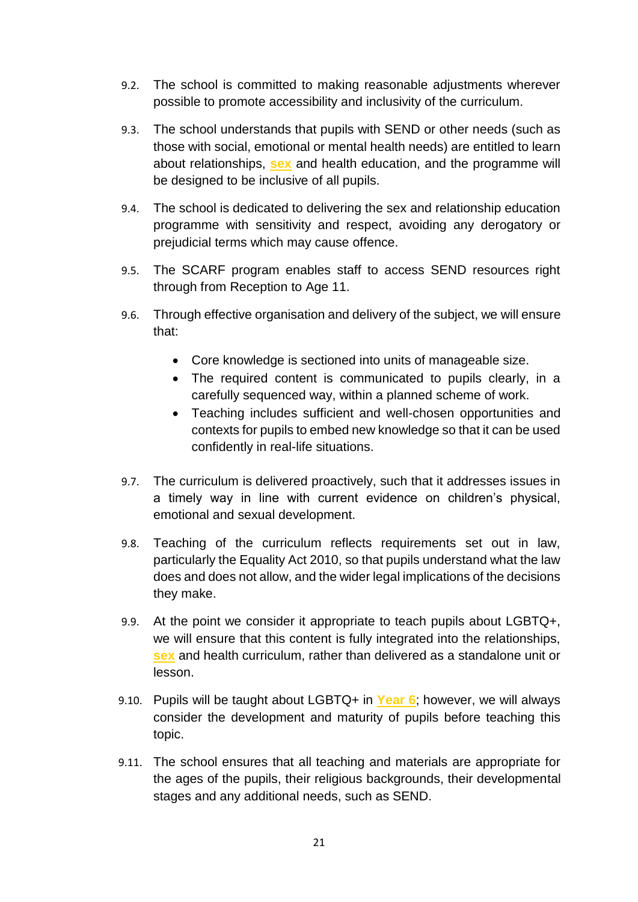- 9.2. The school is committed to making reasonable adjustments wherever possible to promote accessibility and inclusivity of the curriculum.
- 9.3. The school understands that pupils with SEND or other needs (such as those with social, emotional or mental health needs) are entitled to learn about relationships, **sex** and health education, and the programme will be designed to be inclusive of all pupils.
- 9.4. The school is dedicated to delivering the sex and relationship education programme with sensitivity and respect, avoiding any derogatory or prejudicial terms which may cause offence.
- 9.5. The SCARF program enables staff to access SEND resources right through from Reception to Age 11.
- 9.6. Through effective organisation and delivery of the subject, we will ensure that:
	- Core knowledge is sectioned into units of manageable size.
	- The required content is communicated to pupils clearly, in a carefully sequenced way, within a planned scheme of work.
	- Teaching includes sufficient and well-chosen opportunities and contexts for pupils to embed new knowledge so that it can be used confidently in real-life situations.
- 9.7. The curriculum is delivered proactively, such that it addresses issues in a timely way in line with current evidence on children's physical, emotional and sexual development.
- 9.8. Teaching of the curriculum reflects requirements set out in law, particularly the Equality Act 2010, so that pupils understand what the law does and does not allow, and the wider legal implications of the decisions they make.
- 9.9. At the point we consider it appropriate to teach pupils about LGBTQ+, we will ensure that this content is fully integrated into the relationships, **sex** and health curriculum, rather than delivered as a standalone unit or lesson.
- 9.10. Pupils will be taught about LGBTQ+ in **Year 6**; however, we will always consider the development and maturity of pupils before teaching this topic.
- 9.11. The school ensures that all teaching and materials are appropriate for the ages of the pupils, their religious backgrounds, their developmental stages and any additional needs, such as SEND.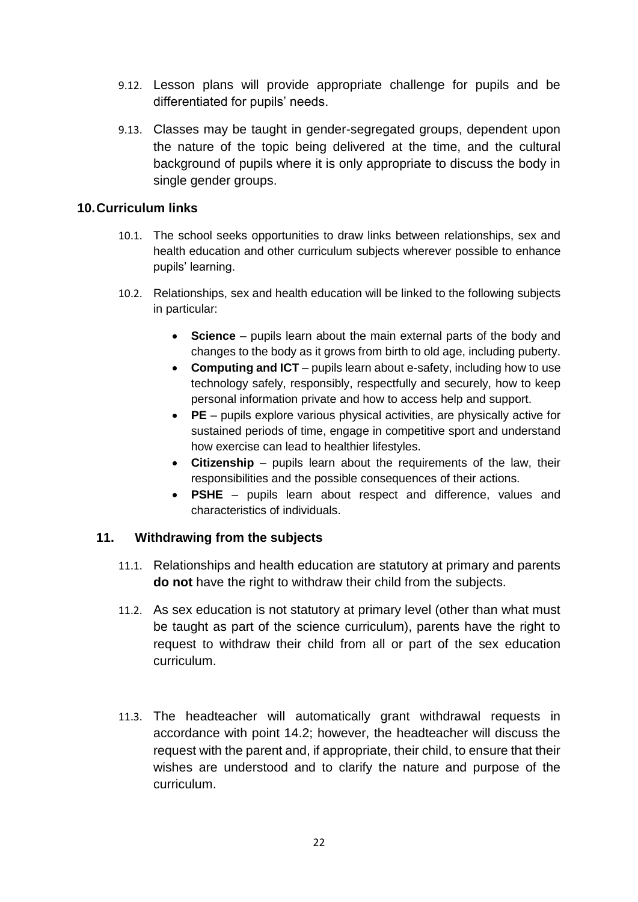- 9.12. Lesson plans will provide appropriate challenge for pupils and be differentiated for pupils' needs.
- 9.13. Classes may be taught in gender-segregated groups, dependent upon the nature of the topic being delivered at the time, and the cultural background of pupils where it is only appropriate to discuss the body in single gender groups.

# **10.Curriculum links**

- 10.1. The school seeks opportunities to draw links between relationships, sex and health education and other curriculum subjects wherever possible to enhance pupils' learning.
- 10.2. Relationships, sex and health education will be linked to the following subjects in particular:
	- **Science** pupils learn about the main external parts of the body and changes to the body as it grows from birth to old age, including puberty.
	- **Computing and ICT** pupils learn about e-safety, including how to use technology safely, responsibly, respectfully and securely, how to keep personal information private and how to access help and support.
	- **PE**  pupils explore various physical activities, are physically active for sustained periods of time, engage in competitive sport and understand how exercise can lead to healthier lifestyles.
	- **Citizenship**  pupils learn about the requirements of the law, their responsibilities and the possible consequences of their actions.
	- **PSHE**  pupils learn about respect and difference, values and characteristics of individuals.

## **11. Withdrawing from the subjects**

- 11.1. Relationships and health education are statutory at primary and parents **do not** have the right to withdraw their child from the subjects.
- 11.2. As sex education is not statutory at primary level (other than what must be taught as part of the science curriculum), parents have the right to request to withdraw their child from all or part of the sex education curriculum.
- 11.3. The headteacher will automatically grant withdrawal requests in accordance with point 14.2; however, the headteacher will discuss the request with the parent and, if appropriate, their child, to ensure that their wishes are understood and to clarify the nature and purpose of the curriculum.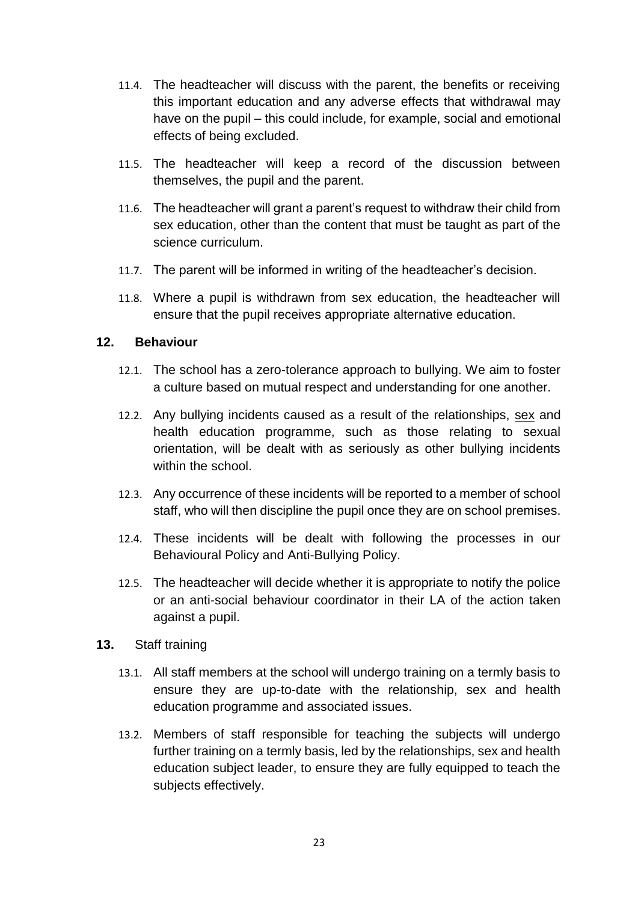- 11.4. The headteacher will discuss with the parent, the benefits or receiving this important education and any adverse effects that withdrawal may have on the pupil – this could include, for example, social and emotional effects of being excluded.
- 11.5. The headteacher will keep a record of the discussion between themselves, the pupil and the parent.
- 11.6. The headteacher will grant a parent's request to withdraw their child from sex education, other than the content that must be taught as part of the science curriculum.
- 11.7. The parent will be informed in writing of the headteacher's decision.
- 11.8. Where a pupil is withdrawn from sex education, the headteacher will ensure that the pupil receives appropriate alternative education.

# **12. Behaviour**

- 12.1. The school has a zero-tolerance approach to bullying. We aim to foster a culture based on mutual respect and understanding for one another.
- 12.2. Any bullying incidents caused as a result of the relationships, sex and health education programme, such as those relating to sexual orientation, will be dealt with as seriously as other bullying incidents within the school.
- 12.3. Any occurrence of these incidents will be reported to a member of school staff, who will then discipline the pupil once they are on school premises.
- 12.4. These incidents will be dealt with following the processes in our Behavioural Policy and Anti-Bullying Policy.
- 12.5. The headteacher will decide whether it is appropriate to notify the police or an anti-social behaviour coordinator in their LA of the action taken against a pupil.
- <span id="page-22-0"></span>**13.** Staff training
	- 13.1. All staff members at the school will undergo training on a termly basis to ensure they are up-to-date with the relationship, sex and health education programme and associated issues.
	- 13.2. Members of staff responsible for teaching the subjects will undergo further training on a termly basis, led by the relationships, sex and health education subject leader, to ensure they are fully equipped to teach the subjects effectively.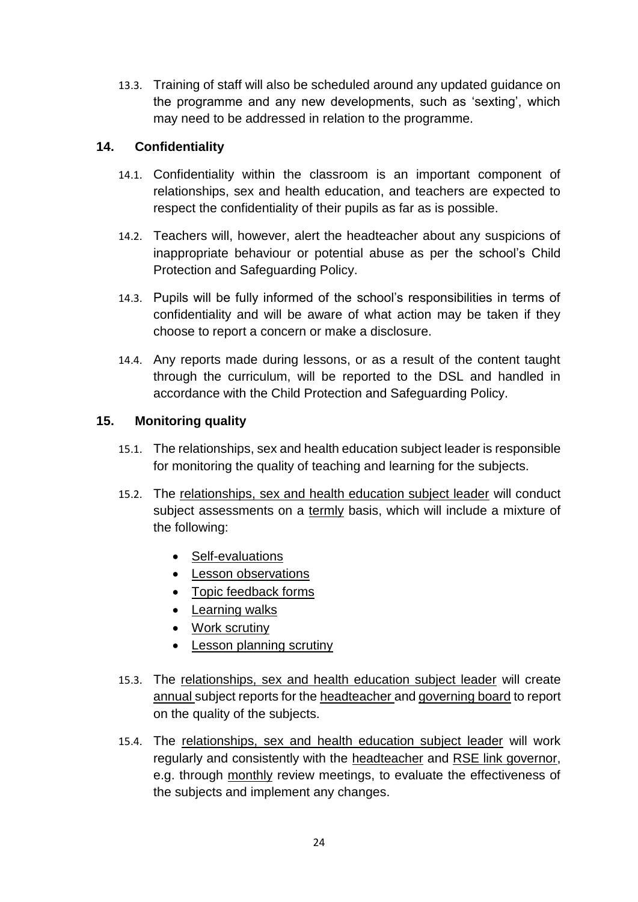13.3. Training of staff will also be scheduled around any updated guidance on the programme and any new developments, such as 'sexting', which may need to be addressed in relation to the programme.

# <span id="page-23-0"></span>**14. Confidentiality**

- 14.1. Confidentiality within the classroom is an important component of relationships, sex and health education, and teachers are expected to respect the confidentiality of their pupils as far as is possible.
- 14.2. Teachers will, however, alert the headteacher about any suspicions of inappropriate behaviour or potential abuse as per the school's Child Protection and Safeguarding Policy.
- 14.3. Pupils will be fully informed of the school's responsibilities in terms of confidentiality and will be aware of what action may be taken if they choose to report a concern or make a disclosure.
- 14.4. Any reports made during lessons, or as a result of the content taught through the curriculum, will be reported to the DSL and handled in accordance with the Child Protection and Safeguarding Policy.

# <span id="page-23-1"></span>**15. Monitoring quality**

- 15.1. The relationships, sex and health education subject leader is responsible for monitoring the quality of teaching and learning for the subjects.
- 15.2. The relationships, sex and health education subject leader will conduct subject assessments on a termly basis, which will include a mixture of the following:
	- Self-evaluations
	- Lesson observations
	- Topic feedback forms
	- Learning walks
	- Work scrutiny
	- Lesson planning scrutiny
- 15.3. The relationships, sex and health education subject leader will create annual subject reports for the headteacher and governing board to report on the quality of the subjects.
- 15.4. The relationships, sex and health education subject leader will work regularly and consistently with the headteacher and RSE link governor, e.g. through monthly review meetings, to evaluate the effectiveness of the subjects and implement any changes.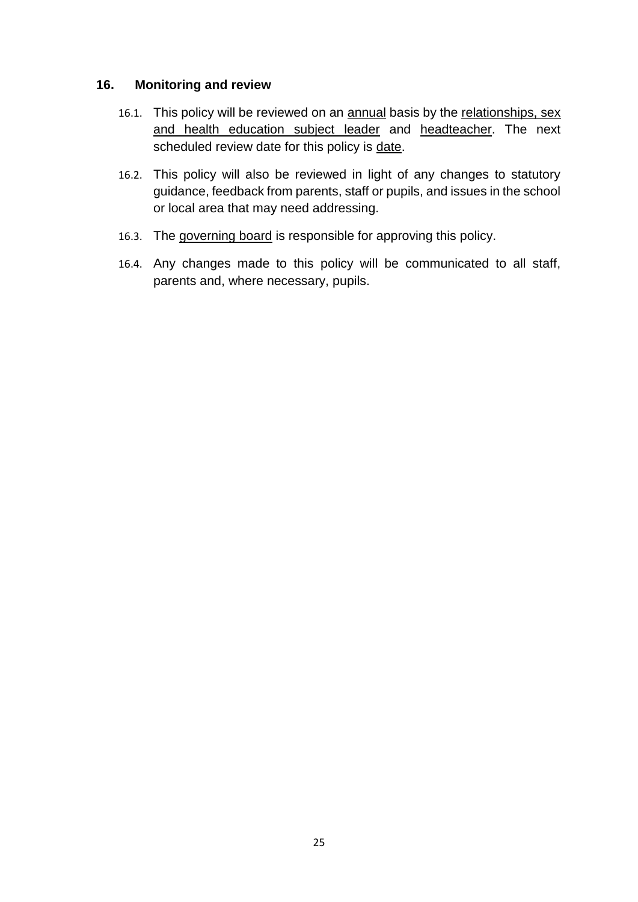# <span id="page-24-0"></span>**16. Monitoring and review**

- 16.1. This policy will be reviewed on an annual basis by the relationships, sex and health education subject leader and headteacher. The next scheduled review date for this policy is date.
- 16.2. This policy will also be reviewed in light of any changes to statutory guidance, feedback from parents, staff or pupils, and issues in the school or local area that may need addressing.
- 16.3. The governing board is responsible for approving this policy.
- 16.4. Any changes made to this policy will be communicated to all staff, parents and, where necessary, pupils.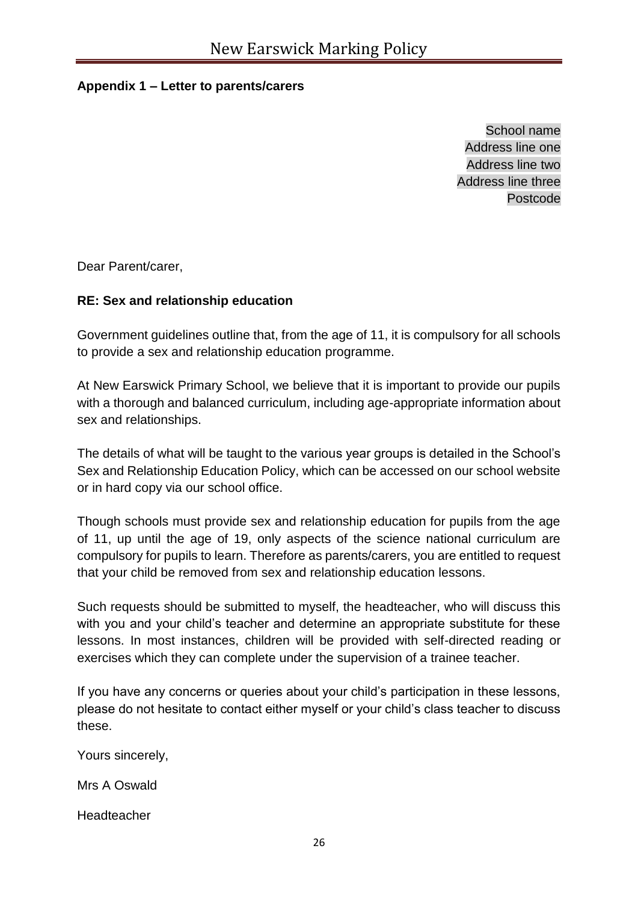# **Appendix 1 – Letter to parents/carers**

School name Address line one Address line two Address line three Postcode

Dear Parent/carer,

# **RE: Sex and relationship education**

Government guidelines outline that, from the age of 11, it is compulsory for all schools to provide a sex and relationship education programme.

At New Earswick Primary School, we believe that it is important to provide our pupils with a thorough and balanced curriculum, including age-appropriate information about sex and relationships.

The details of what will be taught to the various year groups is detailed in the School's Sex and Relationship Education Policy, which can be accessed on our school website or in hard copy via our school office.

Though schools must provide sex and relationship education for pupils from the age of 11, up until the age of 19, only aspects of the science national curriculum are compulsory for pupils to learn. Therefore as parents/carers, you are entitled to request that your child be removed from sex and relationship education lessons.

Such requests should be submitted to myself, the headteacher, who will discuss this with you and your child's teacher and determine an appropriate substitute for these lessons. In most instances, children will be provided with self-directed reading or exercises which they can complete under the supervision of a trainee teacher.

If you have any concerns or queries about your child's participation in these lessons, please do not hesitate to contact either myself or your child's class teacher to discuss these.

Yours sincerely,

Mrs A Oswald

**Headteacher**